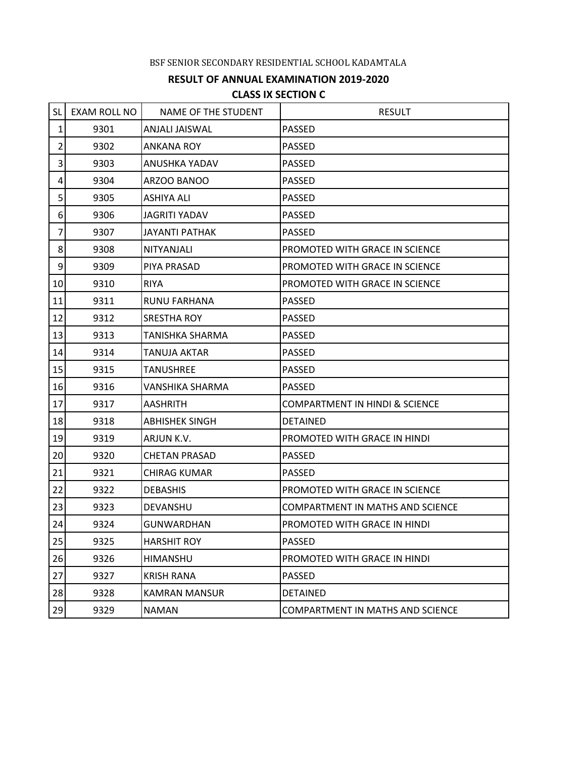## BSF SENIOR SECONDARY RESIDENTIAL SCHOOL KADAMTALA

## **RESULT OF ANNUAL EXAMINATION 2019-2020 CLASS IX SECTION C**

| <b>SL</b>        | <b>EXAM ROLL NO</b> | NAME OF THE STUDENT   | <b>RESULT</b>                             |
|------------------|---------------------|-----------------------|-------------------------------------------|
| 1                | 9301                | ANJALI JAISWAL        | <b>PASSED</b>                             |
| $\overline{2}$   | 9302                | ANKANA ROY            | <b>PASSED</b>                             |
| 3                | 9303                | <b>ANUSHKA YADAV</b>  | <b>PASSED</b>                             |
| 4                | 9304                | ARZOO BANOO           | <b>PASSED</b>                             |
| 5                | 9305                | <b>ASHIYA ALI</b>     | <b>PASSED</b>                             |
| $\boldsymbol{6}$ | 9306                | <b>JAGRITI YADAV</b>  | <b>PASSED</b>                             |
| 7                | 9307                | <b>JAYANTI PATHAK</b> | <b>PASSED</b>                             |
| 8                | 9308                | NITYANJALI            | PROMOTED WITH GRACE IN SCIENCE            |
| 9                | 9309                | PIYA PRASAD           | PROMOTED WITH GRACE IN SCIENCE            |
| 10               | 9310                | <b>RIYA</b>           | PROMOTED WITH GRACE IN SCIENCE            |
| 11               | 9311                | RUNU FARHANA          | <b>PASSED</b>                             |
| 12               | 9312                | <b>SRESTHA ROY</b>    | <b>PASSED</b>                             |
| 13               | 9313                | TANISHKA SHARMA       | <b>PASSED</b>                             |
| 14               | 9314                | <b>TANUJA AKTAR</b>   | <b>PASSED</b>                             |
| 15               | 9315                | <b>TANUSHREE</b>      | <b>PASSED</b>                             |
| 16               | 9316                | VANSHIKA SHARMA       | <b>PASSED</b>                             |
| 17               | 9317                | <b>AASHRITH</b>       | <b>COMPARTMENT IN HINDI &amp; SCIENCE</b> |
| 18               | 9318                | <b>ABHISHEK SINGH</b> | <b>DETAINED</b>                           |
| 19               | 9319                | ARJUN K.V.            | PROMOTED WITH GRACE IN HINDI              |
| 20               | 9320                | <b>CHETAN PRASAD</b>  | <b>PASSED</b>                             |
| 21               | 9321                | <b>CHIRAG KUMAR</b>   | <b>PASSED</b>                             |
| 22               | 9322                | <b>DEBASHIS</b>       | PROMOTED WITH GRACE IN SCIENCE            |
| 23               | 9323                | DEVANSHU              | <b>COMPARTMENT IN MATHS AND SCIENCE</b>   |
| 24               | 9324                | GUNWARDHAN            | PROMOTED WITH GRACE IN HINDI              |
| 25               | 9325                | <b>HARSHIT ROY</b>    | <b>PASSED</b>                             |
| 26               | 9326                | HIMANSHU              | PROMOTED WITH GRACE IN HINDI              |
| 27               | 9327                | <b>KRISH RANA</b>     | <b>PASSED</b>                             |
| 28               | 9328                | <b>KAMRAN MANSUR</b>  | <b>DETAINED</b>                           |
| 29               | 9329                | <b>NAMAN</b>          | COMPARTMENT IN MATHS AND SCIENCE          |